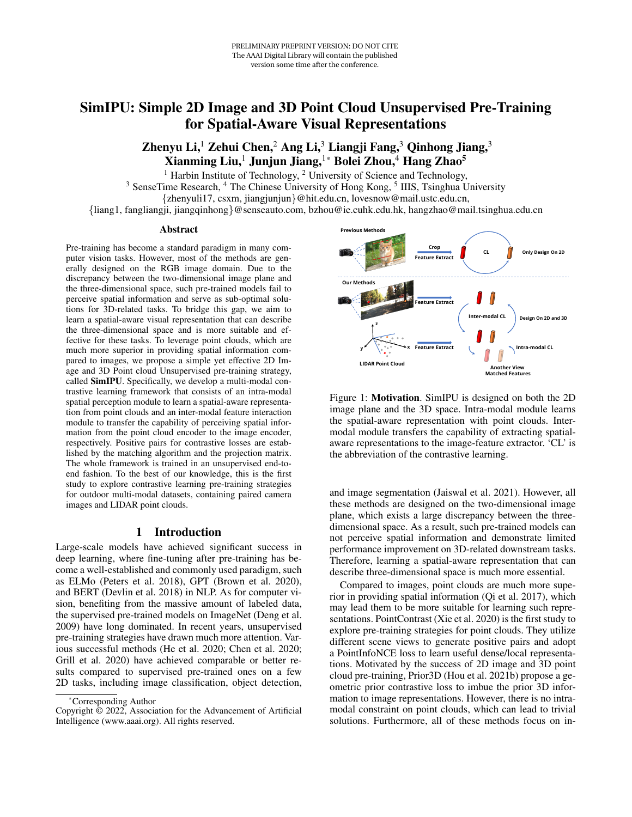# SimIPU: Simple 2D Image and 3D Point Cloud Unsupervised Pre-Training for Spatial-Aware Visual Representations

Zhenyu Li,<sup>1</sup> Zehui Chen,<sup>2</sup> Ang Li,<sup>3</sup> Liangji Fang,<sup>3</sup> Qinhong Jiang,<sup>3</sup> Xianming Liu,<sup>1</sup> Junjun Jiang,<sup>1</sup>\* Bolei Zhou,<sup>4</sup> Hang Zhao<sup>5</sup>

<sup>1</sup> Harbin Institute of Technology,  $2$  University of Science and Technology,

<sup>3</sup> SenseTime Research, <sup>4</sup> The Chinese University of Hong Kong, <sup>5</sup> IIIS, Tsinghua University {zhenyuli17, csxm, jiangjunjun}@hit.edu.cn, lovesnow@mail.ustc.edu.cn,

{liang1, fangliangji, jiangqinhong}@senseauto.com, bzhou@ie.cuhk.edu.hk, hangzhao@mail.tsinghua.edu.cn

#### Abstract

Pre-training has become a standard paradigm in many computer vision tasks. However, most of the methods are generally designed on the RGB image domain. Due to the discrepancy between the two-dimensional image plane and the three-dimensional space, such pre-trained models fail to perceive spatial information and serve as sub-optimal solutions for 3D-related tasks. To bridge this gap, we aim to learn a spatial-aware visual representation that can describe the three-dimensional space and is more suitable and effective for these tasks. To leverage point clouds, which are much more superior in providing spatial information compared to images, we propose a simple yet effective 2D Image and 3D Point cloud Unsupervised pre-training strategy, called SimIPU. Specifically, we develop a multi-modal contrastive learning framework that consists of an intra-modal spatial perception module to learn a spatial-aware representation from point clouds and an inter-modal feature interaction module to transfer the capability of perceiving spatial information from the point cloud encoder to the image encoder, respectively. Positive pairs for contrastive losses are established by the matching algorithm and the projection matrix. The whole framework is trained in an unsupervised end-toend fashion. To the best of our knowledge, this is the first study to explore contrastive learning pre-training strategies for outdoor multi-modal datasets, containing paired camera images and LIDAR point clouds.

### 1 Introduction

Large-scale models have achieved significant success in deep learning, where fine-tuning after pre-training has become a well-established and commonly used paradigm, such as ELMo (Peters et al. 2018), GPT (Brown et al. 2020), and BERT (Devlin et al. 2018) in NLP. As for computer vision, benefiting from the massive amount of labeled data, the supervised pre-trained models on ImageNet (Deng et al. 2009) have long dominated. In recent years, unsupervised pre-training strategies have drawn much more attention. Various successful methods (He et al. 2020; Chen et al. 2020; Grill et al. 2020) have achieved comparable or better results compared to supervised pre-trained ones on a few 2D tasks, including image classification, object detection,



Copyright © 2022, Association for the Advancement of Artificial Intelligence (www.aaai.org). All rights reserved.



Figure 1: Motivation. SimIPU is designed on both the 2D image plane and the 3D space. Intra-modal module learns the spatial-aware representation with point clouds. Intermodal module transfers the capability of extracting spatialaware representations to the image-feature extractor. 'CL' is the abbreviation of the contrastive learning.

and image segmentation (Jaiswal et al. 2021). However, all these methods are designed on the two-dimensional image plane, which exists a large discrepancy between the threedimensional space. As a result, such pre-trained models can not perceive spatial information and demonstrate limited performance improvement on 3D-related downstream tasks. Therefore, learning a spatial-aware representation that can describe three-dimensional space is much more essential.

Compared to images, point clouds are much more superior in providing spatial information (Qi et al. 2017), which may lead them to be more suitable for learning such representations. PointContrast (Xie et al. 2020) is the first study to explore pre-training strategies for point clouds. They utilize different scene views to generate positive pairs and adopt a PointInfoNCE loss to learn useful dense/local representations. Motivated by the success of 2D image and 3D point cloud pre-training, Prior3D (Hou et al. 2021b) propose a geometric prior contrastive loss to imbue the prior 3D information to image representations. However, there is no intramodal constraint on point clouds, which can lead to trivial solutions. Furthermore, all of these methods focus on in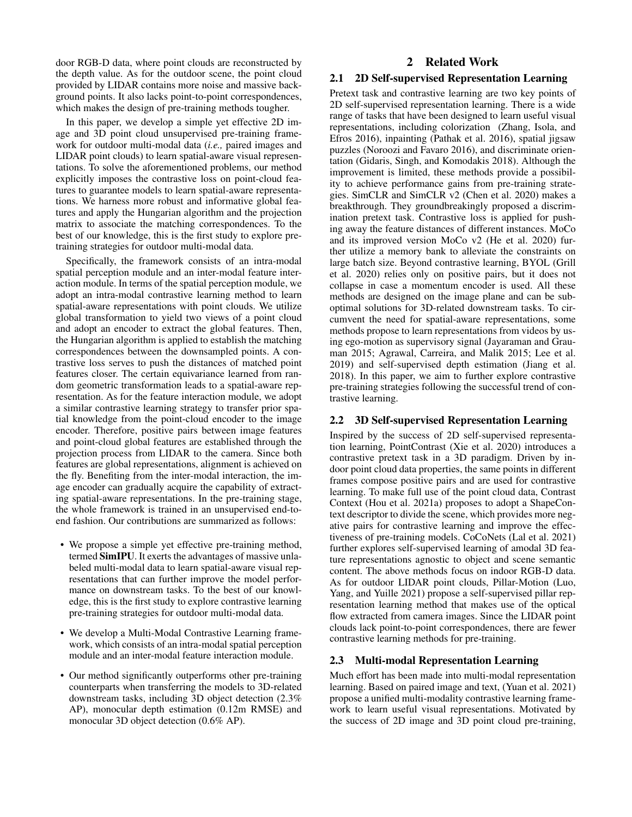door RGB-D data, where point clouds are reconstructed by the depth value. As for the outdoor scene, the point cloud provided by LIDAR contains more noise and massive background points. It also lacks point-to-point correspondences, which makes the design of pre-training methods tougher.

In this paper, we develop a simple yet effective 2D image and 3D point cloud unsupervised pre-training framework for outdoor multi-modal data (*i.e.,* paired images and LIDAR point clouds) to learn spatial-aware visual representations. To solve the aforementioned problems, our method explicitly imposes the contrastive loss on point-cloud features to guarantee models to learn spatial-aware representations. We harness more robust and informative global features and apply the Hungarian algorithm and the projection matrix to associate the matching correspondences. To the best of our knowledge, this is the first study to explore pretraining strategies for outdoor multi-modal data.

Specifically, the framework consists of an intra-modal spatial perception module and an inter-modal feature interaction module. In terms of the spatial perception module, we adopt an intra-modal contrastive learning method to learn spatial-aware representations with point clouds. We utilize global transformation to yield two views of a point cloud and adopt an encoder to extract the global features. Then, the Hungarian algorithm is applied to establish the matching correspondences between the downsampled points. A contrastive loss serves to push the distances of matched point features closer. The certain equivariance learned from random geometric transformation leads to a spatial-aware representation. As for the feature interaction module, we adopt a similar contrastive learning strategy to transfer prior spatial knowledge from the point-cloud encoder to the image encoder. Therefore, positive pairs between image features and point-cloud global features are established through the projection process from LIDAR to the camera. Since both features are global representations, alignment is achieved on the fly. Benefiting from the inter-modal interaction, the image encoder can gradually acquire the capability of extracting spatial-aware representations. In the pre-training stage, the whole framework is trained in an unsupervised end-toend fashion. Our contributions are summarized as follows:

- We propose a simple yet effective pre-training method, termed SimIPU. It exerts the advantages of massive unlabeled multi-modal data to learn spatial-aware visual representations that can further improve the model performance on downstream tasks. To the best of our knowledge, this is the first study to explore contrastive learning pre-training strategies for outdoor multi-modal data.
- We develop a Multi-Modal Contrastive Learning framework, which consists of an intra-modal spatial perception module and an inter-modal feature interaction module.
- Our method significantly outperforms other pre-training counterparts when transferring the models to 3D-related downstream tasks, including 3D object detection (2.3% AP), monocular depth estimation (0.12m RMSE) and monocular 3D object detection (0.6% AP).

# 2 Related Work

#### 2.1 2D Self-supervised Representation Learning

Pretext task and contrastive learning are two key points of 2D self-supervised representation learning. There is a wide range of tasks that have been designed to learn useful visual representations, including colorization (Zhang, Isola, and Efros 2016), inpainting (Pathak et al. 2016), spatial jigsaw puzzles (Noroozi and Favaro 2016), and discriminate orientation (Gidaris, Singh, and Komodakis 2018). Although the improvement is limited, these methods provide a possibility to achieve performance gains from pre-training strategies. SimCLR and SimCLR v2 (Chen et al. 2020) makes a breakthrough. They groundbreakingly proposed a discrimination pretext task. Contrastive loss is applied for pushing away the feature distances of different instances. MoCo and its improved version MoCo v2 (He et al. 2020) further utilize a memory bank to alleviate the constraints on large batch size. Beyond contrastive learning, BYOL (Grill et al. 2020) relies only on positive pairs, but it does not collapse in case a momentum encoder is used. All these methods are designed on the image plane and can be suboptimal solutions for 3D-related downstream tasks. To circumvent the need for spatial-aware representations, some methods propose to learn representations from videos by using ego-motion as supervisory signal (Jayaraman and Grauman 2015; Agrawal, Carreira, and Malik 2015; Lee et al. 2019) and self-supervised depth estimation (Jiang et al. 2018). In this paper, we aim to further explore contrastive pre-training strategies following the successful trend of contrastive learning.

### 2.2 3D Self-supervised Representation Learning

Inspired by the success of 2D self-supervised representation learning, PointContrast (Xie et al. 2020) introduces a contrastive pretext task in a 3D paradigm. Driven by indoor point cloud data properties, the same points in different frames compose positive pairs and are used for contrastive learning. To make full use of the point cloud data, Contrast Context (Hou et al. 2021a) proposes to adopt a ShapeContext descriptor to divide the scene, which provides more negative pairs for contrastive learning and improve the effectiveness of pre-training models. CoCoNets (Lal et al. 2021) further explores self-supervised learning of amodal 3D feature representations agnostic to object and scene semantic content. The above methods focus on indoor RGB-D data. As for outdoor LIDAR point clouds, Pillar-Motion (Luo, Yang, and Yuille 2021) propose a self-supervised pillar representation learning method that makes use of the optical flow extracted from camera images. Since the LIDAR point clouds lack point-to-point correspondences, there are fewer contrastive learning methods for pre-training.

### 2.3 Multi-modal Representation Learning

Much effort has been made into multi-modal representation learning. Based on paired image and text, (Yuan et al. 2021) propose a unified multi-modality contrastive learning framework to learn useful visual representations. Motivated by the success of 2D image and 3D point cloud pre-training,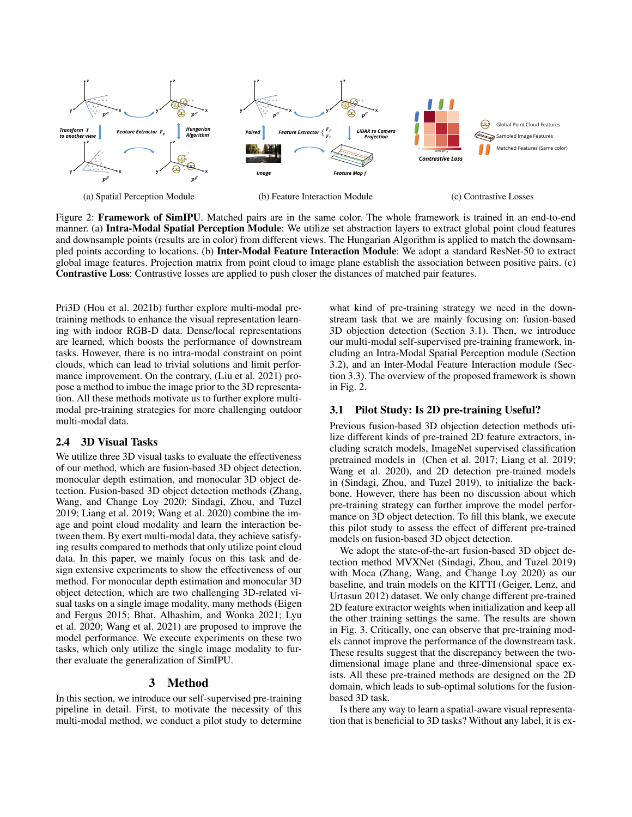

Figure 2: Framework of SimIPU. Matched pairs are in the same color. The whole framework is trained in an end-to-end manner. (a) Intra-Modal Spatial Perception Module: We utilize set abstraction layers to extract global point cloud features and downsample points (results are in color) from different views. The Hungarian Algorithm is applied to match the downsampled points according to locations. (b) Inter-Modal Feature Interaction Module: We adopt a standard ResNet-50 to extract global image features. Projection matrix from point cloud to image plane establish the association between positive pairs. (c) Contrastive Loss: Contrastive losses are applied to push closer the distances of matched pair features.

Pri3D (Hou et al. 2021b) further explore multi-modal pretraining methods to enhance the visual representation learning with indoor RGB-D data. Dense/local representations are learned, which boosts the performance of downstream tasks. However, there is no intra-modal constraint on point clouds, which can lead to trivial solutions and limit performance improvement. On the contrary, (Liu et al. 2021) propose a method to imbue the image prior to the 3D representation. All these methods motivate us to further explore multimodal pre-training strategies for more challenging outdoor multi-modal data.

# 2.4 3D Visual Tasks

We utilize three 3D visual tasks to evaluate the effectiveness of our method, which are fusion-based 3D object detection, monocular depth estimation, and monocular 3D object detection. Fusion-based 3D object detection methods (Zhang, Wang, and Change Loy 2020; Sindagi, Zhou, and Tuzel 2019; Liang et al. 2019; Wang et al. 2020) combine the image and point cloud modality and learn the interaction between them. By exert multi-modal data, they achieve satisfying results compared to methods that only utilize point cloud data. In this paper, we mainly focus on this task and design extensive experiments to show the effectiveness of our method. For monocular depth estimation and monocular 3D object detection, which are two challenging 3D-related visual tasks on a single image modality, many methods (Eigen and Fergus 2015; Bhat, Alhashim, and Wonka 2021; Lyu et al. 2020; Wang et al. 2021) are proposed to improve the model performance. We execute experiments on these two tasks, which only utilize the single image modality to further evaluate the generalization of SimIPU.

# 3 Method

In this section, we introduce our self-supervised pre-training pipeline in detail. First, to motivate the necessity of this multi-modal method, we conduct a pilot study to determine

what kind of pre-training strategy we need in the downstream task that we are mainly focusing on: fusion-based 3D objection detection (Section 3.1). Then, we introduce our multi-modal self-supervised pre-training framework, including an Intra-Modal Spatial Perception module (Section 3.2), and an Inter-Modal Feature Interaction module (Section 3.3). The overview of the proposed framework is shown in Fig. 2.

#### 3.1 Pilot Study: Is 2D pre-training Useful?

Previous fusion-based 3D objection detection methods utilize different kinds of pre-trained 2D feature extractors, including scratch models, ImageNet supervised classification pretrained models in (Chen et al. 2017; Liang et al. 2019; Wang et al. 2020), and 2D detection pre-trained models in (Sindagi, Zhou, and Tuzel 2019), to initialize the backbone. However, there has been no discussion about which pre-training strategy can further improve the model performance on 3D object detection. To fill this blank, we execute this pilot study to assess the effect of different pre-trained models on fusion-based 3D object detection.

We adopt the state-of-the-art fusion-based 3D object detection method MVXNet (Sindagi, Zhou, and Tuzel 2019) with Moca (Zhang, Wang, and Change Loy 2020) as our baseline, and train models on the KITTI (Geiger, Lenz, and Urtasun 2012) dataset. We only change different pre-trained 2D feature extractor weights when initialization and keep all the other training settings the same. The results are shown in Fig. 3. Critically, one can observe that pre-training models cannot improve the performance of the downstream task. These results suggest that the discrepancy between the twodimensional image plane and three-dimensional space exists. All these pre-trained methods are designed on the 2D domain, which leads to sub-optimal solutions for the fusionbased 3D task.

Is there any way to learn a spatial-aware visual representation that is beneficial to 3D tasks? Without any label, it is ex-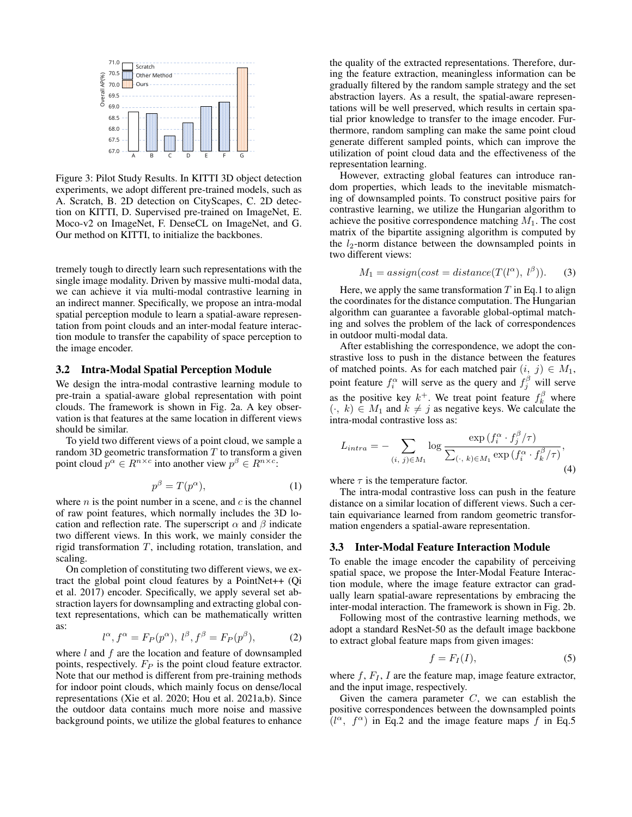

Figure 3: Pilot Study Results. In KITTI 3D object detection experiments, we adopt different pre-trained models, such as A. Scratch, B. 2D detection on CityScapes, C. 2D detection on KITTI, D. Supervised pre-trained on ImageNet, E. Moco-v2 on ImageNet, F. DenseCL on ImageNet, and G. Our method on KITTI, to initialize the backbones.

tremely tough to directly learn such representations with the single image modality. Driven by massive multi-modal data, we can achieve it via multi-modal contrastive learning in an indirect manner. Specifically, we propose an intra-modal spatial perception module to learn a spatial-aware representation from point clouds and an inter-modal feature interaction module to transfer the capability of space perception to the image encoder.

#### 3.2 Intra-Modal Spatial Perception Module

We design the intra-modal contrastive learning module to pre-train a spatial-aware global representation with point clouds. The framework is shown in Fig. 2a. A key observation is that features at the same location in different views should be similar.

To yield two different views of a point cloud, we sample a random 3D geometric transformation  $T$  to transform a given point cloud  $p^{\alpha} \in R^{n \times c}$  into another view  $p^{\beta} \in R^{n \times c}$ :

$$
p^{\beta} = T(p^{\alpha}),\tag{1}
$$

where  $n$  is the point number in a scene, and  $c$  is the channel of raw point features, which normally includes the 3D location and reflection rate. The superscript  $\alpha$  and  $\beta$  indicate two different views. In this work, we mainly consider the rigid transformation  $T$ , including rotation, translation, and scaling.

On completion of constituting two different views, we extract the global point cloud features by a PointNet++ (Qi et al. 2017) encoder. Specifically, we apply several set abstraction layers for downsampling and extracting global context representations, which can be mathematically written as:

$$
l^{\alpha}, f^{\alpha} = F_P(p^{\alpha}), \ l^{\beta}, f^{\beta} = F_P(p^{\beta}), \tag{2}
$$

where  $l$  and  $f$  are the location and feature of downsampled points, respectively.  $F_P$  is the point cloud feature extractor. Note that our method is different from pre-training methods for indoor point clouds, which mainly focus on dense/local representations (Xie et al. 2020; Hou et al. 2021a,b). Since the outdoor data contains much more noise and massive background points, we utilize the global features to enhance

the quality of the extracted representations. Therefore, during the feature extraction, meaningless information can be gradually filtered by the random sample strategy and the set abstraction layers. As a result, the spatial-aware representations will be well preserved, which results in certain spatial prior knowledge to transfer to the image encoder. Furthermore, random sampling can make the same point cloud generate different sampled points, which can improve the utilization of point cloud data and the effectiveness of the representation learning.

However, extracting global features can introduce random properties, which leads to the inevitable mismatching of downsampled points. To construct positive pairs for contrastive learning, we utilize the Hungarian algorithm to achieve the positive correspondence matching  $M_1$ . The cost matrix of the bipartite assigning algorithm is computed by the  $l_2$ -norm distance between the downsampled points in two different views:

$$
M_1 = assign(cost = distance(T(l^{\alpha}), l^{\beta})).
$$
 (3)

Here, we apply the same transformation  $T$  in Eq.1 to align the coordinates for the distance computation. The Hungarian algorithm can guarantee a favorable global-optimal matching and solves the problem of the lack of correspondences in outdoor multi-modal data.

After establishing the correspondence, we adopt the constrastive loss to push in the distance between the features of matched points. As for each matched pair  $(i, j) \in M_1$ , point feature  $f_i^{\alpha}$  will serve as the query and  $f_j^{\beta}$  will serve as the positive key  $k^+$ . We treat point feature  $f_k^{\beta}$  where  $(\cdot, k) \in M_1$  and  $k \neq j$  as negative keys. We calculate the intra-modal contrastive loss as:

$$
L_{intra} = -\sum_{(i, j) \in M_1} \log \frac{\exp (f_i^{\alpha} \cdot f_j^{\beta} / \tau)}{\sum_{(\cdot, k) \in M_1} \exp (f_i^{\alpha} \cdot f_k^{\beta} / \tau)},\tag{4}
$$

where  $\tau$  is the temperature factor.

The intra-modal contrastive loss can push in the feature distance on a similar location of different views. Such a certain equivariance learned from random geometric transformation engenders a spatial-aware representation.

#### 3.3 Inter-Modal Feature Interaction Module

To enable the image encoder the capability of perceiving spatial space, we propose the Inter-Modal Feature Interaction module, where the image feature extractor can gradually learn spatial-aware representations by embracing the inter-modal interaction. The framework is shown in Fig. 2b.

Following most of the contrastive learning methods, we adopt a standard ResNet-50 as the default image backbone to extract global feature maps from given images:

$$
f = F_I(I), \tag{5}
$$

where  $f, F_I, I$  are the feature map, image feature extractor, and the input image, respectively.

Given the camera parameter  $C$ , we can establish the positive correspondences between the downsampled points  $(1^{\alpha}, f^{\alpha})$  in Eq.2 and the image feature maps f in Eq.5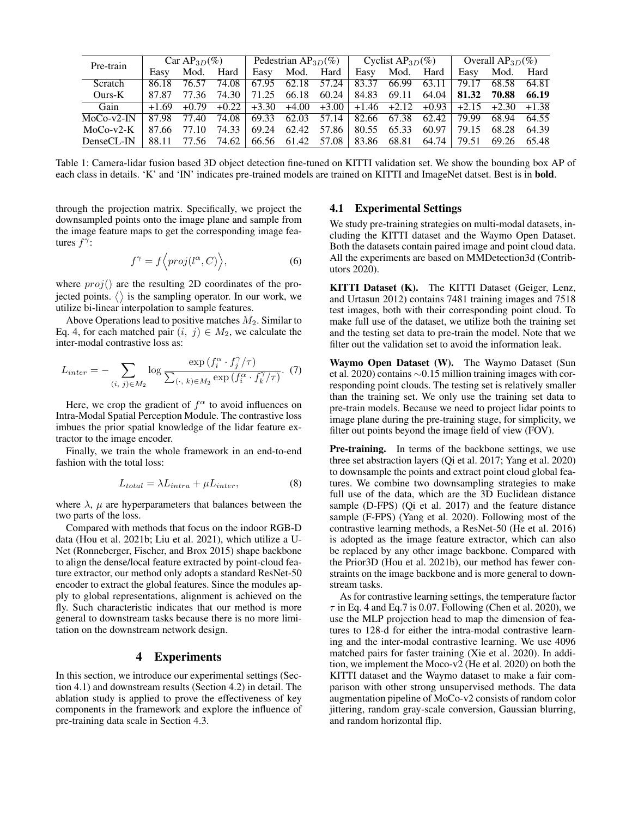| Pre-train    | $CarAP3D(\%)$ |         |         | Pedestrian AP <sub>3D</sub> $(\%)$ |                   |                 | Cyclist AP <sub>3D</sub> $(\%)$                   |             |         | Overall $AP_{3D}(\%)$ |       |       |
|--------------|---------------|---------|---------|------------------------------------|-------------------|-----------------|---------------------------------------------------|-------------|---------|-----------------------|-------|-------|
|              | Easy          | Mod.    | Hard    | Easy                               | Mod.              | Hard            | Easy                                              | Mod.        | Hard    | Easy                  | Mod.  | Hard  |
| Scratch      | 86.18         | 76.57   | 74.08   | 67.95                              | 62.18             | 57.24           | 83.37                                             | 66.99       | 63.11   | 79.17                 | 68.58 | 64.81 |
| $Ours-K$     | 87.87         | 77.36   | 74.30   | 71.25                              | 66.18             |                 | $60.24$   84.83 69.11                             |             | 64.04 l | 81.32                 | 70.88 | 66.19 |
| Gain         | $+1.69$       | $+0.79$ | $+0.22$ | $+3.30 +4.00$                      |                   |                 | $+3.00$ + 1.46 + 2.12 + 0.93 + 2.15 + 2.30 + 1.38 |             |         |                       |       |       |
| $MoCo-v2-IN$ | 87.98         | 77.40   | 74.08   | 69.33                              |                   | $62.03$ $57.14$ | 82.66 67.38                                       |             | 62.42   | 79.99                 | 68.94 | 64.55 |
| $MoCo-v2-K$  | 87.66         | 77.10   | 74.33   | 69.24                              |                   | 62.42 57.86     |                                                   | 80.55 65.33 | 60.97   | 79.15                 | 68.28 | 64.39 |
| DenseCL-IN   | 88.11         | 77.56   | 74.62   |                                    | 66.56 61.42 57.08 |                 |                                                   | 83.86 68.81 | 64.74   | 79.51                 | 69.26 | 65.48 |

Table 1: Camera-lidar fusion based 3D object detection fine-tuned on KITTI validation set. We show the bounding box AP of each class in details. 'K' and 'IN' indicates pre-trained models are trained on KITTI and ImageNet datset. Best is in **bold**.

through the projection matrix. Specifically, we project the downsampled points onto the image plane and sample from the image feature maps to get the corresponding image features  $f^{\gamma}$ :

$$
f^{\gamma} = f\left\langle proj(l^{\alpha}, C)\right\rangle, \tag{6}
$$

where  $proj()$  are the resulting 2D coordinates of the projected points.  $\langle \rangle$  is the sampling operator. In our work, we utilize bi-linear interpolation to sample features.

Above Operations lead to positive matches  $M_2$ . Similar to Eq. 4, for each matched pair  $(i, j) \in M_2$ , we calculate the inter-modal contrastive loss as:

$$
L_{inter} = -\sum_{(i, j) \in M_2} \log \frac{\exp (f_i^{\alpha} \cdot f_j^{\gamma} / \tau)}{\sum_{(\cdot, k) \in M_2} \exp (f_i^{\alpha} \cdot f_k^{\gamma} / \tau)}.
$$
 (7)

Here, we crop the gradient of  $f^{\alpha}$  to avoid influences on Intra-Modal Spatial Perception Module. The contrastive loss imbues the prior spatial knowledge of the lidar feature extractor to the image encoder.

Finally, we train the whole framework in an end-to-end fashion with the total loss:

$$
L_{total} = \lambda L_{intra} + \mu L_{inter},\tag{8}
$$

where  $\lambda$ ,  $\mu$  are hyperparameters that balances between the two parts of the loss.

Compared with methods that focus on the indoor RGB-D data (Hou et al. 2021b; Liu et al. 2021), which utilize a U-Net (Ronneberger, Fischer, and Brox 2015) shape backbone to align the dense/local feature extracted by point-cloud feature extractor, our method only adopts a standard ResNet-50 encoder to extract the global features. Since the modules apply to global representations, alignment is achieved on the fly. Such characteristic indicates that our method is more general to downstream tasks because there is no more limitation on the downstream network design.

#### 4 Experiments

In this section, we introduce our experimental settings (Section 4.1) and downstream results (Section 4.2) in detail. The ablation study is applied to prove the effectiveness of key components in the framework and explore the influence of pre-training data scale in Section 4.3.

#### 4.1 Experimental Settings

We study pre-training strategies on multi-modal datasets, including the KITTI dataset and the Waymo Open Dataset. Both the datasets contain paired image and point cloud data. All the experiments are based on MMDetection3d (Contributors 2020).

KITTI Dataset (K). The KITTI Dataset (Geiger, Lenz, and Urtasun 2012) contains 7481 training images and 7518 test images, both with their corresponding point cloud. To make full use of the dataset, we utilize both the training set and the testing set data to pre-train the model. Note that we filter out the validation set to avoid the information leak.

Waymo Open Dataset (W). The Waymo Dataset (Sun et al. 2020) contains ∼0.15 million training images with corresponding point clouds. The testing set is relatively smaller than the training set. We only use the training set data to pre-train models. Because we need to project lidar points to image plane during the pre-training stage, for simplicity, we filter out points beyond the image field of view (FOV).

Pre-training. In terms of the backbone settings, we use three set abstraction layers (Qi et al. 2017; Yang et al. 2020) to downsample the points and extract point cloud global features. We combine two downsampling strategies to make full use of the data, which are the 3D Euclidean distance sample (D-FPS) (Qi et al. 2017) and the feature distance sample (F-FPS) (Yang et al. 2020). Following most of the contrastive learning methods, a ResNet-50 (He et al. 2016) is adopted as the image feature extractor, which can also be replaced by any other image backbone. Compared with the Prior3D (Hou et al. 2021b), our method has fewer constraints on the image backbone and is more general to downstream tasks.

As for contrastive learning settings, the temperature factor  $\tau$  in Eq. 4 and Eq.7 is 0.07. Following (Chen et al. 2020), we use the MLP projection head to map the dimension of features to 128-d for either the intra-modal contrastive learning and the inter-modal contrastive learning. We use 4096 matched pairs for faster training (Xie et al. 2020). In addition, we implement the Moco-v2 (He et al. 2020) on both the KITTI dataset and the Waymo dataset to make a fair comparison with other strong unsupervised methods. The data augmentation pipeline of MoCo-v2 consists of random color jittering, random gray-scale conversion, Gaussian blurring, and random horizontal flip.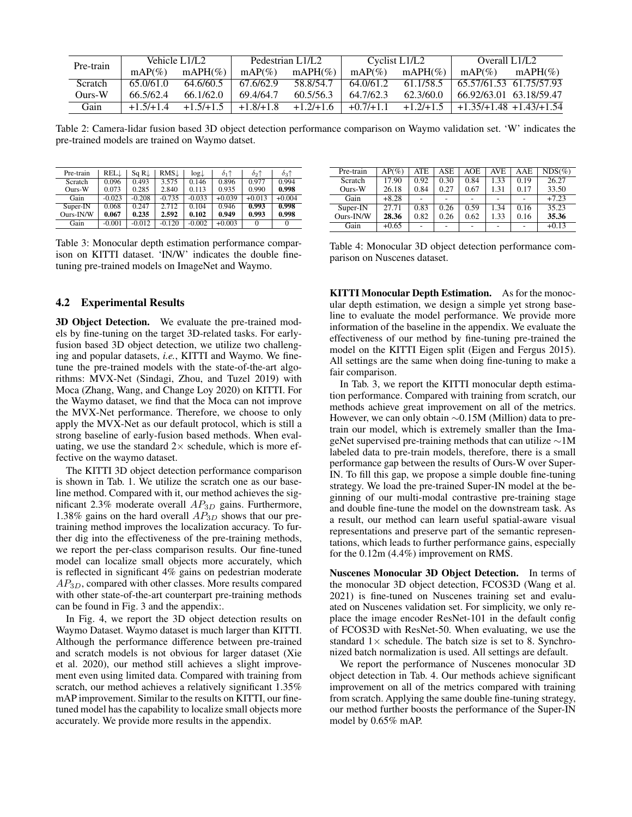| Pre-train      |             | Vehicle L1/L2 |             | Pedestrian L1/L2 |             | Cyclist L1/L2 | Overall L1/L2              |            |
|----------------|-------------|---------------|-------------|------------------|-------------|---------------|----------------------------|------------|
|                | $mAP(\%)$   | $mAPH(\%)$    | $mAP(\%)$   | mAPH $(\%)$      | $mAP(\%)$   | mAPH $(\% )$  | $mAP(\%)$                  | $mAPH(\%)$ |
| <b>Scratch</b> | 65.0/61.0   | 64.6/60.5     | 67.6/62.9   | 58.8/54.7        | 64.0/61.2   | 61.1/58.5     | 65.57/61.53 61.75/57.93    |            |
| $Ours-W$       | 66.5/62.4   | 66.1/62.0     | 69.4/64.7   | 60.5/56.3        | 64.7/62.3   | 62.3/60.0     | 66.92/63.01 63.18/59.47    |            |
| Gain           | $+1.5/+1.4$ | $+1.5/+1.5$   | $+1.8/+1.8$ | $+1.2/+1.6$      | $+0.7/+1.1$ | $+1.2/+1.5$   | $+1.35/+1.48 + 1.43/+1.54$ |            |

Table 2: Camera-lidar fusion based 3D object detection performance comparison on Waymo validation set. 'W' indicates the pre-trained models are trained on Waymo datset.

| Pre-train | RELL     | Sq R⊥    | <b>RMS.L</b> | $log\downarrow$ | $\delta_1$ <sup><math>\uparrow</math></sup> | $\delta_2\uparrow$ | $\delta_3\uparrow$ |
|-----------|----------|----------|--------------|-----------------|---------------------------------------------|--------------------|--------------------|
| Scratch   | 0.096    | 0.493    | 3.575        | 0.146           | 0.896                                       | 0.977              | 0.994              |
| Ours-W    | 0.073    | 0.285    | 2.840        | 0.113           | 0.935                                       | 0.990              | 0.998              |
| Gain      | $-0.023$ | $-0.208$ | $-0.735$     | $-0.033$        | $+0.039$                                    | $+0.013$           | $+0.004$           |
| Super-IN  | 0.068    | 0.247    | 2.712        | 0.104           | 0.946                                       | 0.993              | 0.998              |
| Ours-IN/W | 0.067    | 0.235    | 2.592        | 0.102           | 0.949                                       | 0.993              | 0.998              |
| Gain      | $-0.001$ | $-0.012$ | $-0.120$     | $-0.002$        | $+0.003$                                    |                    |                    |

Table 3: Monocular depth estimation performance comparison on KITTI dataset. 'IN/W' indicates the double finetuning pre-trained models on ImageNet and Waymo.

### 4.2 Experimental Results

3D Object Detection. We evaluate the pre-trained models by fine-tuning on the target 3D-related tasks. For earlyfusion based 3D object detection, we utilize two challenging and popular datasets, *i.e.*, KITTI and Waymo. We finetune the pre-trained models with the state-of-the-art algorithms: MVX-Net (Sindagi, Zhou, and Tuzel 2019) with Moca (Zhang, Wang, and Change Loy 2020) on KITTI. For the Waymo dataset, we find that the Moca can not improve the MVX-Net performance. Therefore, we choose to only apply the MVX-Net as our default protocol, which is still a strong baseline of early-fusion based methods. When evaluating, we use the standard  $2\times$  schedule, which is more effective on the waymo dataset.

The KITTI 3D object detection performance comparison is shown in Tab. 1. We utilize the scratch one as our baseline method. Compared with it, our method achieves the significant 2.3% moderate overall  $AP_{3D}$  gains. Furthermore, 1.38% gains on the hard overall  $AP_{3D}$  shows that our pretraining method improves the localization accuracy. To further dig into the effectiveness of the pre-training methods, we report the per-class comparison results. Our fine-tuned model can localize small objects more accurately, which is reflected in significant 4% gains on pedestrian moderate AP3D, compared with other classes. More results compared with other state-of-the-art counterpart pre-training methods can be found in Fig. 3 and the appendix:.

In Fig. 4, we report the 3D object detection results on Waymo Dataset. Waymo dataset is much larger than KITTI. Although the performance difference between pre-trained and scratch models is not obvious for larger dataset (Xie et al. 2020), our method still achieves a slight improvement even using limited data. Compared with training from scratch, our method achieves a relatively significant 1.35% mAP improvement. Similar to the results on KITTI, our finetuned model has the capability to localize small objects more accurately. We provide more results in the appendix.

| Pre-train | $AP(\%)$ | ATE                      | $\overline{\text{ASE}}$ | AOE  | AVE  | AAE  | $NDS(\%)$ |
|-----------|----------|--------------------------|-------------------------|------|------|------|-----------|
| Scratch   | 17.90    | 0.92                     | 0.30                    | 0.84 | 1.33 | 0.19 | 26.27     |
| Ours-W    | 26.18    | 0.84                     | 0.27                    | 0.67 | 1.31 | 0.17 | 33.50     |
| Gain      | $+8.28$  | $\overline{\phantom{0}}$ |                         |      |      |      | $+7.23$   |
| Super-IN  | 27.71    | 0.83                     | 0.26                    | 0.59 | 1.34 | 0.16 | 35.23     |
| Ours-IN/W | 28.36    | 0.82                     | 0.26                    | 0.62 | 1.33 | 0.16 | 35.36     |
| Gain      | $+0.65$  |                          |                         |      |      |      | $+0.13$   |

Table 4: Monocular 3D object detection performance comparison on Nuscenes dataset.

KITTI Monocular Depth Estimation. As for the monocular depth estimation, we design a simple yet strong baseline to evaluate the model performance. We provide more information of the baseline in the appendix. We evaluate the effectiveness of our method by fine-tuning pre-trained the model on the KITTI Eigen split (Eigen and Fergus 2015). All settings are the same when doing fine-tuning to make a fair comparison.

In Tab. 3, we report the KITTI monocular depth estimation performance. Compared with training from scratch, our methods achieve great improvement on all of the metrics. However, we can only obtain ∼0.15M (Million) data to pretrain our model, which is extremely smaller than the ImageNet supervised pre-training methods that can utilize ∼1M labeled data to pre-train models, therefore, there is a small performance gap between the results of Ours-W over Super-IN. To fill this gap, we propose a simple double fine-tuning strategy. We load the pre-trained Super-IN model at the beginning of our multi-modal contrastive pre-training stage and double fine-tune the model on the downstream task. As a result, our method can learn useful spatial-aware visual representations and preserve part of the semantic representations, which leads to further performance gains, especially for the 0.12m (4.4%) improvement on RMS.

Nuscenes Monocular 3D Object Detection. In terms of the monocular 3D object detection, FCOS3D (Wang et al. 2021) is fine-tuned on Nuscenes training set and evaluated on Nuscenes validation set. For simplicity, we only replace the image encoder ResNet-101 in the default config of FCOS3D with ResNet-50. When evaluating, we use the standard  $1\times$  schedule. The batch size is set to 8. Synchronized batch normalization is used. All settings are default.

We report the performance of Nuscenes monocular 3D object detection in Tab. 4. Our methods achieve significant improvement on all of the metrics compared with training from scratch. Applying the same double fine-tuning strategy, our method further boosts the performance of the Super-IN model by 0.65% mAP.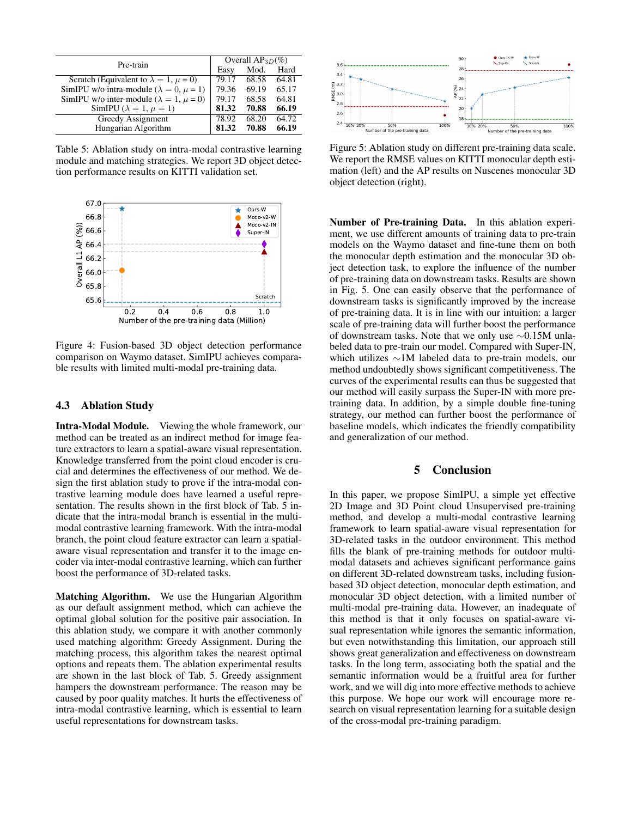| Pre-train                                             | Overall $AP_{3D}(\%)$ |       |       |  |  |
|-------------------------------------------------------|-----------------------|-------|-------|--|--|
|                                                       | Easy                  | Mod.  | Hard  |  |  |
| Scratch (Equivalent to $\lambda = 1$ , $\mu = 0$ )    | 79.17                 | 68.58 | 64.81 |  |  |
| SimIPU w/o intra-module ( $\lambda = 0$ , $\mu = 1$ ) | 79.36                 | 69.19 | 65.17 |  |  |
| SimIPU w/o inter-module ( $\lambda = 1$ , $\mu = 0$ ) | 79.17                 | 68.58 | 64.81 |  |  |
| SimIPU ( $\lambda = 1, \mu = 1$ )                     | 81.32                 | 70.88 | 66.19 |  |  |
| Greedy Assignment                                     | 78.92                 | 68.20 | 64.72 |  |  |
| Hungarian Algorithm                                   | 81.32                 | 70.88 | 66.19 |  |  |

Table 5: Ablation study on intra-modal contrastive learning module and matching strategies. We report 3D object detection performance results on KITTI validation set.



Figure 4: Fusion-based 3D object detection performance comparison on Waymo dataset. SimIPU achieves comparable results with limited multi-modal pre-training data.

#### 4.3 Ablation Study

Intra-Modal Module. Viewing the whole framework, our method can be treated as an indirect method for image feature extractors to learn a spatial-aware visual representation. Knowledge transferred from the point cloud encoder is crucial and determines the effectiveness of our method. We design the first ablation study to prove if the intra-modal contrastive learning module does have learned a useful representation. The results shown in the first block of Tab. 5 indicate that the intra-modal branch is essential in the multimodal contrastive learning framework. With the intra-modal branch, the point cloud feature extractor can learn a spatialaware visual representation and transfer it to the image encoder via inter-modal contrastive learning, which can further boost the performance of 3D-related tasks.

Matching Algorithm. We use the Hungarian Algorithm as our default assignment method, which can achieve the optimal global solution for the positive pair association. In this ablation study, we compare it with another commonly used matching algorithm: Greedy Assignment. During the matching process, this algorithm takes the nearest optimal options and repeats them. The ablation experimental results are shown in the last block of Tab. 5. Greedy assignment hampers the downstream performance. The reason may be caused by poor quality matches. It hurts the effectiveness of intra-modal contrastive learning, which is essential to learn useful representations for downstream tasks.



Figure 5: Ablation study on different pre-training data scale. We report the RMSE values on KITTI monocular depth estimation (left) and the AP results on Nuscenes monocular 3D object detection (right).

Number of Pre-training Data. In this ablation experiment, we use different amounts of training data to pre-train models on the Waymo dataset and fine-tune them on both the monocular depth estimation and the monocular 3D object detection task, to explore the influence of the number of pre-training data on downstream tasks. Results are shown in Fig. 5. One can easily observe that the performance of downstream tasks is significantly improved by the increase of pre-training data. It is in line with our intuition: a larger scale of pre-training data will further boost the performance of downstream tasks. Note that we only use ∼0.15M unlabeled data to pre-train our model. Compared with Super-IN, which utilizes ∼1M labeled data to pre-train models, our method undoubtedly shows significant competitiveness. The curves of the experimental results can thus be suggested that our method will easily surpass the Super-IN with more pretraining data. In addition, by a simple double fine-tuning strategy, our method can further boost the performance of baseline models, which indicates the friendly compatibility and generalization of our method.

# 5 Conclusion

In this paper, we propose SimIPU, a simple yet effective 2D Image and 3D Point cloud Unsupervised pre-training method, and develop a multi-modal contrastive learning framework to learn spatial-aware visual representation for 3D-related tasks in the outdoor environment. This method fills the blank of pre-training methods for outdoor multimodal datasets and achieves significant performance gains on different 3D-related downstream tasks, including fusionbased 3D object detection, monocular depth estimation, and monocular 3D object detection, with a limited number of multi-modal pre-training data. However, an inadequate of this method is that it only focuses on spatial-aware visual representation while ignores the semantic information, but even notwithstanding this limitation, our approach still shows great generalization and effectiveness on downstream tasks. In the long term, associating both the spatial and the semantic information would be a fruitful area for further work, and we will dig into more effective methods to achieve this purpose. We hope our work will encourage more research on visual representation learning for a suitable design of the cross-modal pre-training paradigm.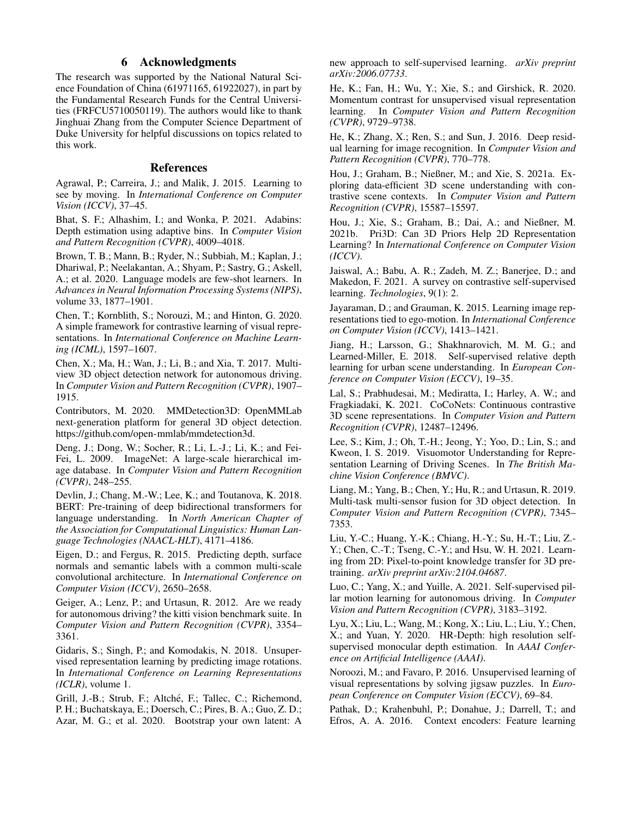# 6 Acknowledgments

The research was supported by the National Natural Science Foundation of China (61971165, 61922027), in part by the Fundamental Research Funds for the Central Universities (FRFCU5710050119). The authors would like to thank Jinghuai Zhang from the Computer Science Department of Duke University for helpful discussions on topics related to this work.

### References

Agrawal, P.; Carreira, J.; and Malik, J. 2015. Learning to see by moving. In *International Conference on Computer Vision (ICCV)*, 37–45.

Bhat, S. F.; Alhashim, I.; and Wonka, P. 2021. Adabins: Depth estimation using adaptive bins. In *Computer Vision and Pattern Recognition (CVPR)*, 4009–4018.

Brown, T. B.; Mann, B.; Ryder, N.; Subbiah, M.; Kaplan, J.; Dhariwal, P.; Neelakantan, A.; Shyam, P.; Sastry, G.; Askell, A.; et al. 2020. Language models are few-shot learners. In *Advances in Neural Information Processing Systems (NIPS)*, volume 33, 1877–1901.

Chen, T.; Kornblith, S.; Norouzi, M.; and Hinton, G. 2020. A simple framework for contrastive learning of visual representations. In *International Conference on Machine Learning (ICML)*, 1597–1607.

Chen, X.; Ma, H.; Wan, J.; Li, B.; and Xia, T. 2017. Multiview 3D object detection network for autonomous driving. In *Computer Vision and Pattern Recognition (CVPR)*, 1907– 1915.

Contributors, M. 2020. MMDetection3D: OpenMMLab next-generation platform for general 3D object detection. https://github.com/open-mmlab/mmdetection3d.

Deng, J.; Dong, W.; Socher, R.; Li, L.-J.; Li, K.; and Fei-Fei, L. 2009. ImageNet: A large-scale hierarchical image database. In *Computer Vision and Pattern Recognition (CVPR)*, 248–255.

Devlin, J.; Chang, M.-W.; Lee, K.; and Toutanova, K. 2018. BERT: Pre-training of deep bidirectional transformers for language understanding. In *North American Chapter of the Association for Computational Linguistics: Human Language Technologies (NAACL-HLT)*, 4171–4186.

Eigen, D.; and Fergus, R. 2015. Predicting depth, surface normals and semantic labels with a common multi-scale convolutional architecture. In *International Conference on Computer Vision (ICCV)*, 2650–2658.

Geiger, A.; Lenz, P.; and Urtasun, R. 2012. Are we ready for autonomous driving? the kitti vision benchmark suite. In *Computer Vision and Pattern Recognition (CVPR)*, 3354– 3361.

Gidaris, S.; Singh, P.; and Komodakis, N. 2018. Unsupervised representation learning by predicting image rotations. In *International Conference on Learning Representations (ICLR)*, volume 1.

Grill, J.-B.; Strub, F.; Altché, F.; Tallec, C.; Richemond, P. H.; Buchatskaya, E.; Doersch, C.; Pires, B. A.; Guo, Z. D.; Azar, M. G.; et al. 2020. Bootstrap your own latent: A

new approach to self-supervised learning. *arXiv preprint arXiv:2006.07733*.

He, K.; Fan, H.; Wu, Y.; Xie, S.; and Girshick, R. 2020. Momentum contrast for unsupervised visual representation learning. In *Computer Vision and Pattern Recognition (CVPR)*, 9729–9738.

He, K.; Zhang, X.; Ren, S.; and Sun, J. 2016. Deep residual learning for image recognition. In *Computer Vision and Pattern Recognition (CVPR)*, 770–778.

Hou, J.; Graham, B.; Nießner, M.; and Xie, S. 2021a. Exploring data-efficient 3D scene understanding with contrastive scene contexts. In *Computer Vision and Pattern Recognition (CVPR)*, 15587–15597.

Hou, J.; Xie, S.; Graham, B.; Dai, A.; and Nießner, M. 2021b. Pri3D: Can 3D Priors Help 2D Representation Learning? In *International Conference on Computer Vision (ICCV)*.

Jaiswal, A.; Babu, A. R.; Zadeh, M. Z.; Banerjee, D.; and Makedon, F. 2021. A survey on contrastive self-supervised learning. *Technologies*, 9(1): 2.

Jayaraman, D.; and Grauman, K. 2015. Learning image representations tied to ego-motion. In *International Conference on Computer Vision (ICCV)*, 1413–1421.

Jiang, H.; Larsson, G.; Shakhnarovich, M. M. G.; and Learned-Miller, E. 2018. Self-supervised relative depth learning for urban scene understanding. In *European Conference on Computer Vision (ECCV)*, 19–35.

Lal, S.; Prabhudesai, M.; Mediratta, I.; Harley, A. W.; and Fragkiadaki, K. 2021. CoCoNets: Continuous contrastive 3D scene representations. In *Computer Vision and Pattern Recognition (CVPR)*, 12487–12496.

Lee, S.; Kim, J.; Oh, T.-H.; Jeong, Y.; Yoo, D.; Lin, S.; and Kweon, I. S. 2019. Visuomotor Understanding for Representation Learning of Driving Scenes. In *The British Machine Vision Conference (BMVC)*.

Liang, M.; Yang, B.; Chen, Y.; Hu, R.; and Urtasun, R. 2019. Multi-task multi-sensor fusion for 3D object detection. In *Computer Vision and Pattern Recognition (CVPR)*, 7345– 7353.

Liu, Y.-C.; Huang, Y.-K.; Chiang, H.-Y.; Su, H.-T.; Liu, Z.- Y.; Chen, C.-T.; Tseng, C.-Y.; and Hsu, W. H. 2021. Learning from 2D: Pixel-to-point knowledge transfer for 3D pretraining. *arXiv preprint arXiv:2104.04687*.

Luo, C.; Yang, X.; and Yuille, A. 2021. Self-supervised pillar motion learning for autonomous driving. In *Computer Vision and Pattern Recognition (CVPR)*, 3183–3192.

Lyu, X.; Liu, L.; Wang, M.; Kong, X.; Liu, L.; Liu, Y.; Chen, X.; and Yuan, Y. 2020. HR-Depth: high resolution selfsupervised monocular depth estimation. In *AAAI Conference on Artificial Intelligence (AAAI)*.

Noroozi, M.; and Favaro, P. 2016. Unsupervised learning of visual representations by solving jigsaw puzzles. In *European Conference on Computer Vision (ECCV)*, 69–84.

Pathak, D.; Krahenbuhl, P.; Donahue, J.; Darrell, T.; and Efros, A. A. 2016. Context encoders: Feature learning